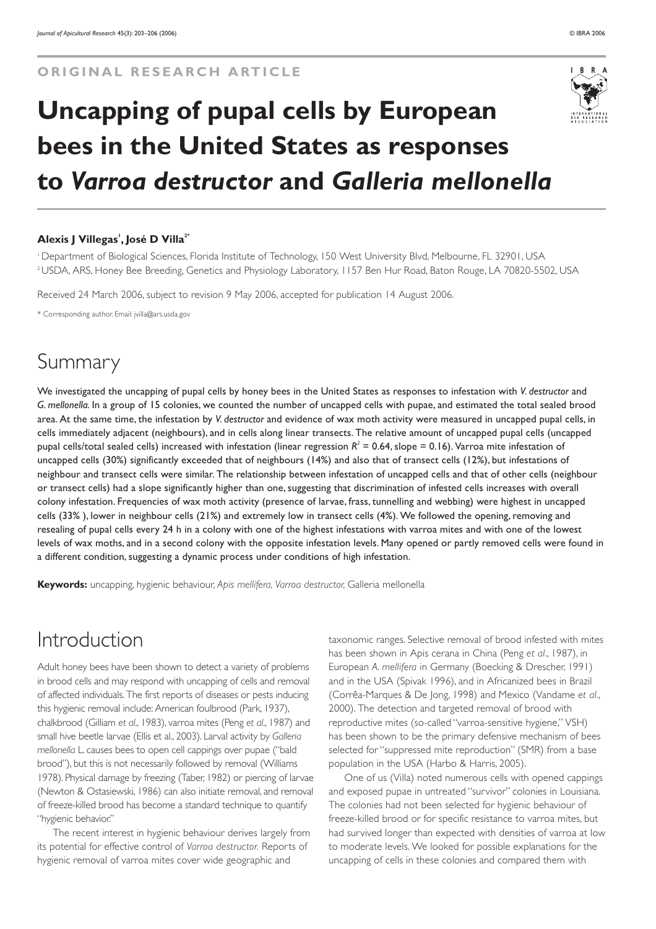# **Uncapping of pupal cells by European bees in the United States as responses to** *Varroa destructor* **and** *Galleria mellonella*

#### **Alexis J Villegas<sup>1</sup> , José D Villa2\***

1 Department of Biological Sciences, Florida Institute of Technology, 150 West University Blvd, Melbourne, FL 32901, USA 2 USDA, ARS, Honey Bee Breeding, Genetics and Physiology Laboratory, 1157 Ben Hur Road, Baton Rouge, LA 70820-5502, USA

Received 24 March 2006, subject to revision 9 May 2006, accepted for publication 14 August 2006.

\* Corresponding author. Email: jvilla@ars.usda.gov

# Summary

We investigated the uncapping of pupal cells by honey bees in the United States as responses to infestation with *V. destructor* and *G. mellonella.* In a group of 15 colonies, we counted the number of uncapped cells with pupae, and estimated the total sealed brood area. At the same time, the infestation by *V. destructor* and evidence of wax moth activity were measured in uncapped pupal cells, in cells immediately adjacent (neighbours), and in cells along linear transects. The relative amount of uncapped pupal cells (uncapped pupal cells/total sealed cells) increased with infestation (linear regression  $R^2 = 0.64$ , slope = 0.16). Varroa mite infestation of uncapped cells (30%) significantly exceeded that of neighbours (14%) and also that of transect cells (12%), but infestations of neighbour and transect cells were similar. The relationship between infestation of uncapped cells and that of other cells (neighbour or transect cells) had a slope significantly higher than one, suggesting that discrimination of infested cells increases with overall colony infestation. Frequencies of wax moth activity (presence of larvae, frass, tunnelling and webbing) were highest in uncapped cells (33% ), lower in neighbour cells (21%) and extremely low in transect cells (4%). We followed the opening, removing and resealing of pupal cells every 24 h in a colony with one of the highest infestations with varroa mites and with one of the lowest levels of wax moths, and in a second colony with the opposite infestation levels. Many opened or partly removed cells were found in a different condition, suggesting a dynamic process under conditions of high infestation.

**Keywords:** uncapping, hygienic behaviour, *Apis mellifera, Varroa destructor,* Galleria mellonella

# Introduction

Adult honey bees have been shown to detect a variety of problems in brood cells and may respond with uncapping of cells and removal of affected individuals. The first reports of diseases or pests inducing this hygienic removal include: American foulbrood (Park, 1937), chalkbrood (Gilliam *et al*., 1983), varroa mites (Peng *et al*., 1987) and small hive beetle larvae (Ellis et al., 2003). Larval activity by *Galleria mellonella* L. causes bees to open cell cappings over pupae ("bald brood"), but this is not necessarily followed by removal (Williams 1978). Physical damage by freezing (Taber, 1982) or piercing of larvae (Newton & Ostasiewski, 1986) can also initiate removal, and removal of freeze-killed brood has become a standard technique to quantify "hygienic behavior."

The recent interest in hygienic behaviour derives largely from its potential for effective control of *Varroa destructor.* Reports of hygienic removal of varroa mites cover wide geographic and

taxonomic ranges. Selective removal of brood infested with mites has been shown in Apis cerana in China (Peng *et al*., 1987), in European *A. mellifera* in Germany (Boecking & Drescher, 1991) and in the USA (Spivak 1996), and in Africanized bees in Brazil (Corrêa-Marques & De Jong, 1998) and Mexico (Vandame *et al*., 2000). The detection and targeted removal of brood with reproductive mites (so-called "varroa-sensitive hygiene," VSH) has been shown to be the primary defensive mechanism of bees selected for "suppressed mite reproduction" (SMR) from a base population in the USA (Harbo & Harris, 2005).

One of us (Villa) noted numerous cells with opened cappings and exposed pupae in untreated "survivor" colonies in Louisiana. The colonies had not been selected for hygienic behaviour of freeze-killed brood or for specific resistance to varroa mites, but had survived longer than expected with densities of varroa at low to moderate levels. We looked for possible explanations for the uncapping of cells in these colonies and compared them with

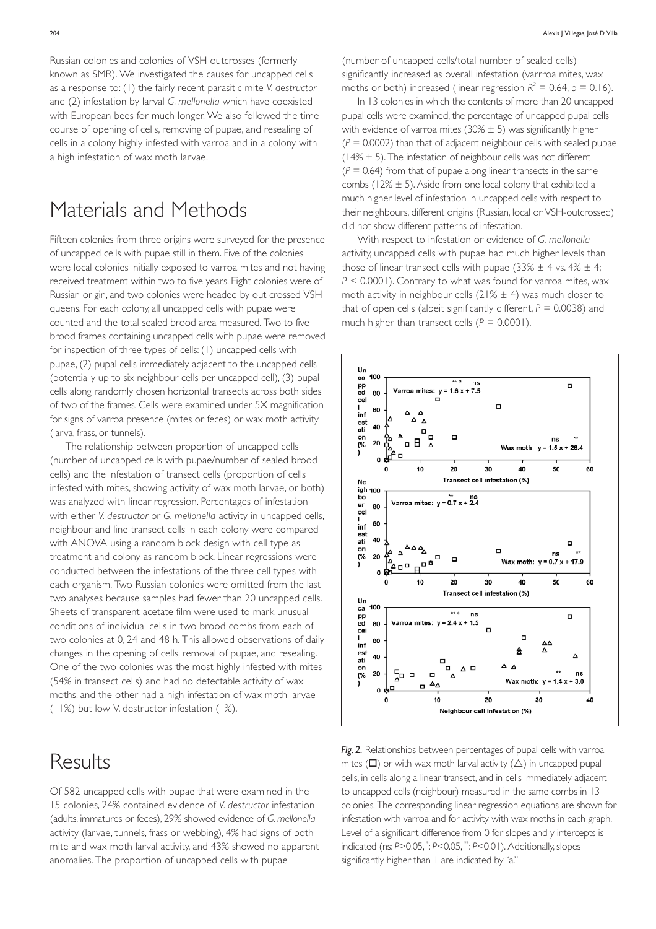Russian colonies and colonies of VSH outcrosses (formerly known as SMR). We investigated the causes for uncapped cells as a response to: (1) the fairly recent parasitic mite *V. destructor* and (2) infestation by larval *G. mellonella* which have coexisted with European bees for much longer. We also followed the time course of opening of cells, removing of pupae, and resealing of cells in a colony highly infested with varroa and in a colony with a high infestation of wax moth larvae.

## Materials and Methods

Fifteen colonies from three origins were surveyed for the presence of uncapped cells with pupae still in them. Five of the colonies were local colonies initially exposed to varroa mites and not having received treatment within two to five years. Eight colonies were of Russian origin, and two colonies were headed by out crossed VSH queens. For each colony, all uncapped cells with pupae were counted and the total sealed brood area measured. Two to five brood frames containing uncapped cells with pupae were removed for inspection of three types of cells: (1) uncapped cells with pupae, (2) pupal cells immediately adjacent to the uncapped cells (potentially up to six neighbour cells per uncapped cell), (3) pupal cells along randomly chosen horizontal transects across both sides of two of the frames. Cells were examined under 5X magnification for signs of varroa presence (mites or feces) or wax moth activity (larva, frass, or tunnels).

The relationship between proportion of uncapped cells (number of uncapped cells with pupae/number of sealed brood cells) and the infestation of transect cells (proportion of cells infested with mites, showing activity of wax moth larvae, or both) was analyzed with linear regression. Percentages of infestation with either *V. destructor* or *G. mellonella* activity in uncapped cells, neighbour and line transect cells in each colony were compared with ANOVA using a random block design with cell type as treatment and colony as random block. Linear regressions were conducted between the infestations of the three cell types with each organism. Two Russian colonies were omitted from the last two analyses because samples had fewer than 20 uncapped cells. Sheets of transparent acetate film were used to mark unusual conditions of individual cells in two brood combs from each of two colonies at 0, 24 and 48 h. This allowed observations of daily changes in the opening of cells, removal of pupae, and resealing. One of the two colonies was the most highly infested with mites (54% in transect cells) and had no detectable activity of wax moths, and the other had a high infestation of wax moth larvae (11%) but low V. destructor infestation (1%).

### Results

Of 582 uncapped cells with pupae that were examined in the 15 colonies, 24% contained evidence of *V. destructor* infestation (adults, immatures or feces), 29% showed evidence of *G. mellonella* activity (larvae, tunnels, frass or webbing), 4% had signs of both mite and wax moth larval activity, and 43% showed no apparent anomalies. The proportion of uncapped cells with pupae

(number of uncapped cells/total number of sealed cells) significantly increased as overall infestation (varrroa mites, wax moths or both) increased (linear regression  $R^2 = 0.64$ , b = 0.16).

In 13 colonies in which the contents of more than 20 uncapped pupal cells were examined, the percentage of uncapped pupal cells with evidence of varroa mites ( $30\% \pm 5$ ) was significantly higher  $(P = 0.0002)$  than that of adjacent neighbour cells with sealed pupae (14%  $\pm$  5). The infestation of neighbour cells was not different  $(P = 0.64)$  from that of pupae along linear transects in the same combs (12%  $\pm$  5). Aside from one local colony that exhibited a much higher level of infestation in uncapped cells with respect to their neighbours, different origins (Russian, local or VSH-outcrossed) did not show different patterns of infestation.

With respect to infestation or evidence of *G. mellonella* activity, uncapped cells with pupae had much higher levels than those of linear transect cells with pupae (33%  $\pm$  4 vs. 4%  $\pm$  4; *P* < 0.0001). Contrary to what was found for varroa mites, wax moth activity in neighbour cells  $(21\% \pm 4)$  was much closer to that of open cells (albeit significantly different,  $P = 0.0038$ ) and much higher than transect cells  $(P = 0.0001)$ .



*Fig. 2.* Relationships between percentages of pupal cells with varroa mites ( $\square$ ) or with wax moth larval activity ( $\triangle$ ) in uncapped pupal cells, in cells along a linear transect, and in cells immediately adjacent to uncapped cells (neighbour) measured in the same combs in 13 colonies. The corresponding linear regression equations are shown for infestation with varroa and for activity with wax moths in each graph. Level of a significant difference from 0 for slopes and y intercepts is indicated (ns: *P*>0.05, \* : *P*<0.05, \*\* : *P*<0.01). Additionally, slopes significantly higher than 1 are indicated by "a."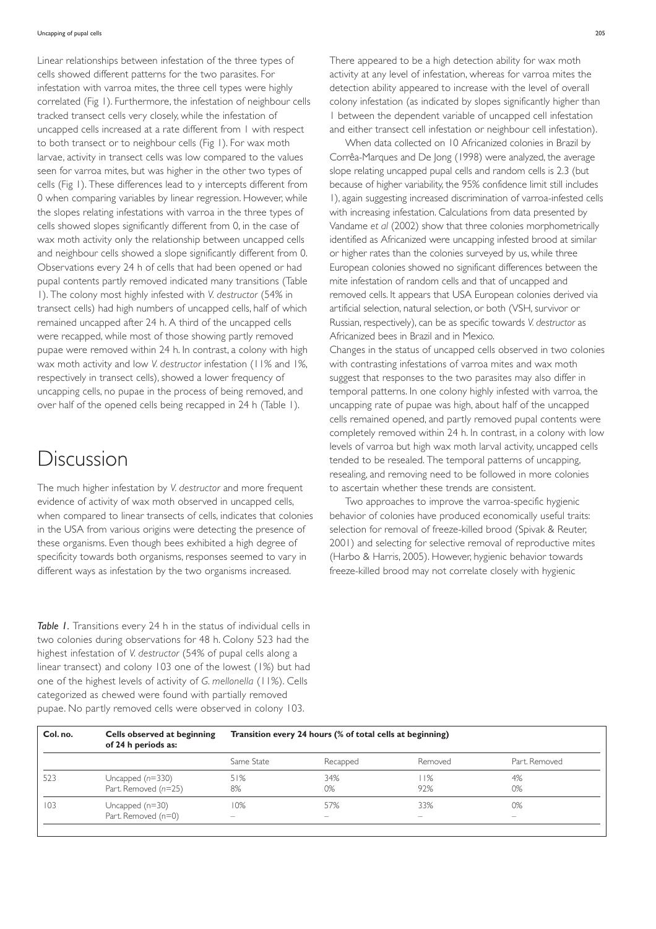Linear relationships between infestation of the three types of cells showed different patterns for the two parasites. For infestation with varroa mites, the three cell types were highly correlated (Fig 1). Furthermore, the infestation of neighbour cells tracked transect cells very closely, while the infestation of uncapped cells increased at a rate different from 1 with respect to both transect or to neighbour cells (Fig 1). For wax moth larvae, activity in transect cells was low compared to the values seen for varroa mites, but was higher in the other two types of cells (Fig 1). These differences lead to y intercepts different from 0 when comparing variables by linear regression. However, while the slopes relating infestations with varroa in the three types of cells showed slopes significantly different from 0, in the case of wax moth activity only the relationship between uncapped cells and neighbour cells showed a slope significantly different from 0. Observations every 24 h of cells that had been opened or had pupal contents partly removed indicated many transitions (Table 1). The colony most highly infested with *V. destructor* (54% in transect cells) had high numbers of uncapped cells, half of which remained uncapped after 24 h. A third of the uncapped cells were recapped, while most of those showing partly removed pupae were removed within 24 h. In contrast, a colony with high wax moth activity and low *V. destructor* infestation (11% and 1%, respectively in transect cells), showed a lower frequency of uncapping cells, no pupae in the process of being removed, and over half of the opened cells being recapped in 24 h (Table 1).

# Discussion

The much higher infestation by *V. destructor* and more frequent evidence of activity of wax moth observed in uncapped cells, when compared to linear transects of cells, indicates that colonies in the USA from various origins were detecting the presence of these organisms. Even though bees exhibited a high degree of specificity towards both organisms, responses seemed to vary in different ways as infestation by the two organisms increased.

*Table 1.* Transitions every 24 h in the status of individual cells in two colonies during observations for 48 h. Colony 523 had the highest infestation of *V. destructor* (54% of pupal cells along a linear transect) and colony 103 one of the lowest (1%) but had one of the highest levels of activity of *G. mellonella* (11%). Cells categorized as chewed were found with partially removed pupae. No partly removed cells were observed in colony 103.

There appeared to be a high detection ability for wax moth activity at any level of infestation, whereas for varroa mites the detection ability appeared to increase with the level of overall colony infestation (as indicated by slopes significantly higher than 1 between the dependent variable of uncapped cell infestation and either transect cell infestation or neighbour cell infestation).

When data collected on 10 Africanized colonies in Brazil by Corrêa-Marques and De Jong (1998) were analyzed, the average slope relating uncapped pupal cells and random cells is 2.3 (but because of higher variability, the 95% confidence limit still includes 1), again suggesting increased discrimination of varroa-infested cells with increasing infestation. Calculations from data presented by Vandame *et al* (2002) show that three colonies morphometrically identified as Africanized were uncapping infested brood at similar or higher rates than the colonies surveyed by us, while three European colonies showed no significant differences between the mite infestation of random cells and that of uncapped and removed cells. It appears that USA European colonies derived via artificial selection, natural selection, or both (VSH, survivor or Russian, respectively), can be as specific towards *V. destructor* as Africanized bees in Brazil and in Mexico.

Changes in the status of uncapped cells observed in two colonies with contrasting infestations of varroa mites and wax moth suggest that responses to the two parasites may also differ in temporal patterns. In one colony highly infested with varroa, the uncapping rate of pupae was high, about half of the uncapped cells remained opened, and partly removed pupal contents were completely removed within 24 h. In contrast, in a colony with low levels of varroa but high wax moth larval activity, uncapped cells tended to be resealed. The temporal patterns of uncapping, resealing, and removing need to be followed in more colonies to ascertain whether these trends are consistent.

Two approaches to improve the varroa-specific hygienic behavior of colonies have produced economically useful traits: selection for removal of freeze-killed brood (Spivak & Reuter, 2001) and selecting for selective removal of reproductive mites (Harbo & Harris, 2005). However, hygienic behavior towards freeze-killed brood may not correlate closely with hygienic

| Col. no. | Cells observed at beginning<br>of 24 h periods as: | Transition every 24 hours (% of total cells at beginning) |                          |                          |                          |
|----------|----------------------------------------------------|-----------------------------------------------------------|--------------------------|--------------------------|--------------------------|
|          |                                                    | Same State                                                | Recapped                 | Removed                  | Part, Removed            |
| 523      | Uncapped $(n=330)$                                 | 51%                                                       | 34%                      | 1%                       | 4%                       |
|          | Part. Removed (n=25)                               | 8%                                                        | 0%                       | 92%                      | 0%                       |
| 103      | Uncapped $(n=30)$                                  | 10%                                                       | 57%                      | 33%                      | 0%                       |
|          | Part. Removed (n=0)                                | $\overline{\phantom{0}}$                                  | $\overline{\phantom{0}}$ | $\overline{\phantom{a}}$ | $\overline{\phantom{0}}$ |